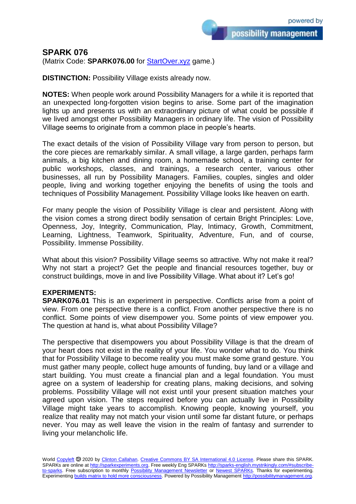possibility management

## **SPARK 076**

(Matrix Code: **SPARK076.00** for **StartOver.xyz** game.)

**DISTINCTION:** Possibility Village exists already now.

**NOTES:** When people work around Possibility Managers for a while it is reported that an unexpected long-forgotten vision begins to arise. Some part of the imagination lights up and presents us with an extraordinary picture of what could be possible if we lived amongst other Possibility Managers in ordinary life. The vision of Possibility Village seems to originate from a common place in people's hearts.

The exact details of the vision of Possibility Village vary from person to person, but the core pieces are remarkably similar. A small village, a large garden, perhaps farm animals, a big kitchen and dining room, a homemade school, a training center for public workshops, classes, and trainings, a research center, various other businesses, all run by Possibility Managers. Families, couples, singles and older people, living and working together enjoying the benefits of using the tools and techniques of Possibility Management. Possibility Village looks like heaven on earth.

For many people the vision of Possibility Village is clear and persistent. Along with the vision comes a strong direct bodily sensation of certain Bright Principles: Love, Openness, Joy, Integrity, Communication, Play, Intimacy, Growth, Commitment, Learning, Lightness, Teamwork, Spirituality, Adventure, Fun, and of course, Possibility. Immense Possibility.

What about this vision? Possibility Village seems so attractive. Why not make it real? Why not start a project? Get the people and financial resources together, buy or construct buildings, move in and live Possibility Village. What about it? Let's go!

## **EXPERIMENTS:**

**SPARK076.01** This is an experiment in perspective. Conflicts arise from a point of view. From one perspective there is a conflict. From another perspective there is no conflict. Some points of view disempower you. Some points of view empower you. The question at hand is, what about Possibility Village?

The perspective that disempowers you about Possibility Village is that the dream of your heart does not exist in the reality of your life. You wonder what to do. You think that for Possibility Village to become reality you must make some grand gesture. You must gather many people, collect huge amounts of funding, buy land or a village and start building. You must create a financial plan and a legal foundation. You must agree on a system of leadership for creating plans, making decisions, and solving problems. Possibility Village will not exist until your present situation matches your agreed upon vision. The steps required before you can actually live in Possibility Village might take years to accomplish. Knowing people, knowing yourself, you realize that reality may not match your vision until some far distant future, or perhaps never. You may as well leave the vision in the realm of fantasy and surrender to living your melancholic life.